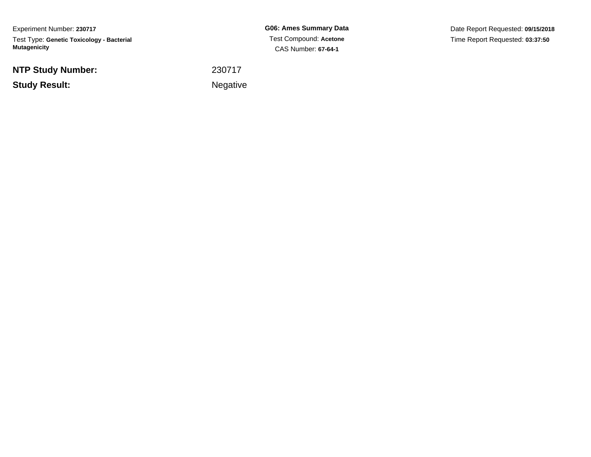Experiment Number: **230717**Test Type: **Genetic Toxicology - Bacterial Mutagenicity**

**NTP Study Number:**

**Study Result:**

**G06: Ames Summary Data** Test Compound: **Acetone**CAS Number: **67-64-1**

Date Report Requested: **09/15/2018**Time Report Requested: **03:37:50**

 <sup>230717</sup>**Example 2** is the contract of the Negative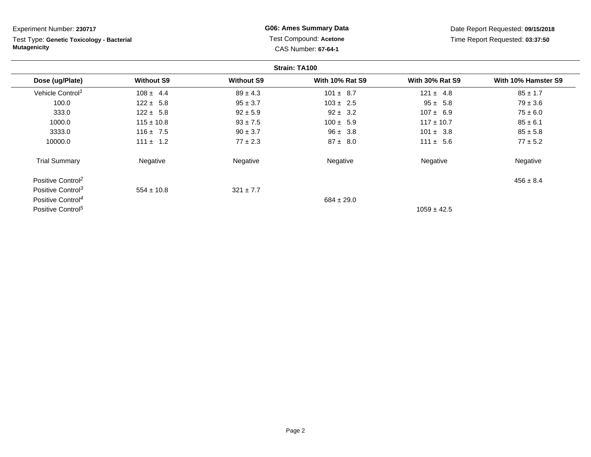Test Type: **Genetic Toxicology - Bacterial Mutagenicity**

**G06: Ames Summary Data** Test Compound: **Acetone**CAS Number: **67-64-1**

Date Report Requested: **09/15/2018**Time Report Requested: **03:37:50**

|                               |                   |                   | Strain: TA100          |                        |                     |
|-------------------------------|-------------------|-------------------|------------------------|------------------------|---------------------|
| Dose (ug/Plate)               | <b>Without S9</b> | <b>Without S9</b> | <b>With 10% Rat S9</b> | <b>With 30% Rat S9</b> | With 10% Hamster S9 |
| Vehicle Control <sup>1</sup>  | $108 \pm 4.4$     | $89 \pm 4.3$      | $101 \pm 8.7$          | $121 \pm 4.8$          | $85 \pm 1.7$        |
| 100.0                         | $122 \pm 5.8$     | $95 \pm 3.7$      | $103 \pm 2.5$          | $95 \pm 5.8$           | $79 \pm 3.6$        |
| 333.0                         | $122 \pm 5.8$     | $92 \pm 5.9$      | $92 \pm 3.2$           | $107 \pm 6.9$          | $75 \pm 6.0$        |
| 1000.0                        | $115 \pm 10.8$    | $93 \pm 7.5$      | $100 \pm 5.9$          | $117 \pm 10.7$         | $85 \pm 6.1$        |
| 3333.0                        | $116 \pm 7.5$     | $90 \pm 3.7$      | $96 \pm 3.8$           | $101 \pm 3.8$          | $85 \pm 5.8$        |
| 10000.0                       | $111 \pm 1.2$     | $77 \pm 2.3$      | $87 \pm 8.0$           | $111 \pm 5.6$          | $77 \pm 5.2$        |
| <b>Trial Summary</b>          | Negative          | Negative          | Negative               | Negative               | Negative            |
| Positive Control <sup>2</sup> |                   |                   |                        |                        | $456 \pm 8.4$       |
| Positive Control <sup>3</sup> | $554 \pm 10.8$    | $321 \pm 7.7$     |                        |                        |                     |
| Positive Control <sup>4</sup> |                   |                   | $684 \pm 29.0$         |                        |                     |
| Positive Control <sup>5</sup> |                   |                   |                        | $1059 \pm 42.5$        |                     |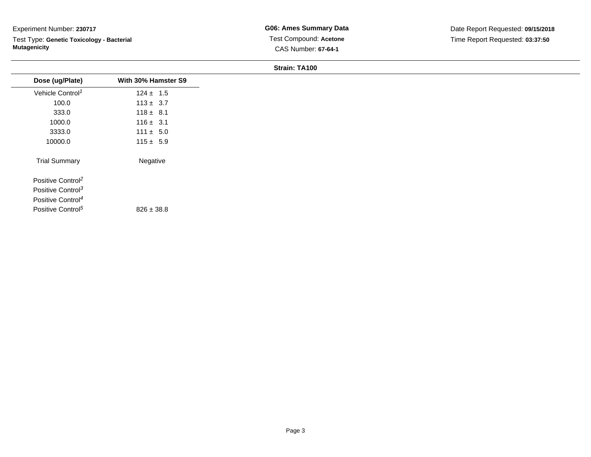Test Type: **Genetic Toxicology - Bacterial Mutagenicity**

**G06: Ames Summary Data** Test Compound: **Acetone**CAS Number: **67-64-1**

#### **Strain: TA100**

| Dose (ug/Plate)               | With 30% Hamster S9 |
|-------------------------------|---------------------|
| Vehicle Control <sup>1</sup>  | $124 \pm 1.5$       |
| 100.0                         | $113 \pm 3.7$       |
| 333.0                         | $118 \pm 8.1$       |
| 1000.0                        | $116 \pm 3.1$       |
| 3333.0                        | $111 \pm 5.0$       |
| 10000.0                       | $115 \pm 5.9$       |
| <b>Trial Summary</b>          | Negative            |
| Positive Control <sup>2</sup> |                     |
| Positive Control <sup>3</sup> |                     |
| Positive Control <sup>4</sup> |                     |
| Positive Control <sup>5</sup> | $826 \pm 38.8$      |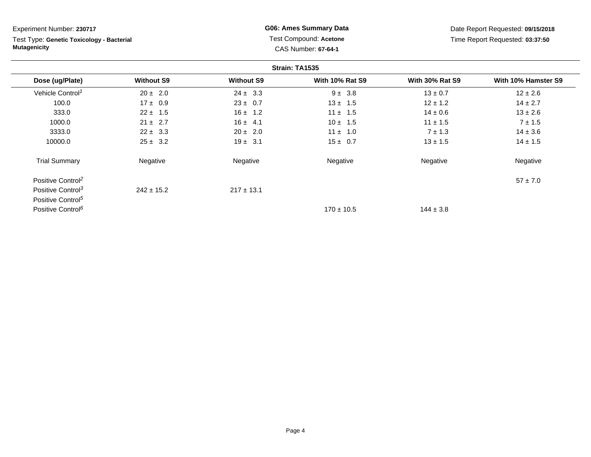Test Type: **Genetic Toxicology - Bacterial Mutagenicity**

**G06: Ames Summary Data** Test Compound: **Acetone**CAS Number: **67-64-1**

Date Report Requested: **09/15/2018**Time Report Requested: **03:37:50**

|                               |                   |                   | Strain: TA1535         |                        |                     |
|-------------------------------|-------------------|-------------------|------------------------|------------------------|---------------------|
| Dose (ug/Plate)               | <b>Without S9</b> | <b>Without S9</b> | <b>With 10% Rat S9</b> | <b>With 30% Rat S9</b> | With 10% Hamster S9 |
| Vehicle Control <sup>1</sup>  | $20 \pm 2.0$      | $24 \pm 3.3$      | $9 \pm 3.8$            | $13 \pm 0.7$           | $12 \pm 2.6$        |
| 100.0                         | $17 \pm 0.9$      | $23 \pm 0.7$      | $13 \pm 1.5$           | $12 \pm 1.2$           | $14 \pm 2.7$        |
| 333.0                         | $22 \pm 1.5$      | $16 \pm 1.2$      | $11 \pm 1.5$           | $14 \pm 0.6$           | $13 \pm 2.6$        |
| 1000.0                        | $21 \pm 2.7$      | $16 \pm 4.1$      | $10 \pm 1.5$           | $11 \pm 1.5$           | $7 \pm 1.5$         |
| 3333.0                        | $22 \pm 3.3$      | $20 \pm 2.0$      | $11 \pm 1.0$           | $7 \pm 1.3$            | $14 \pm 3.6$        |
| 10000.0                       | $25 \pm 3.2$      | $19 \pm 3.1$      | $15 \pm 0.7$           | $13 \pm 1.5$           | $14 \pm 1.5$        |
| <b>Trial Summary</b>          | Negative          | Negative          | Negative               | Negative               | Negative            |
| Positive Control <sup>2</sup> |                   |                   |                        |                        | $57 \pm 7.0$        |
| Positive Control <sup>3</sup> | $242 \pm 15.2$    | $217 \pm 13.1$    |                        |                        |                     |
| Positive Control <sup>5</sup> |                   |                   |                        |                        |                     |
| Positive Control <sup>6</sup> |                   |                   | $170 \pm 10.5$         | $144 \pm 3.8$          |                     |

Page 4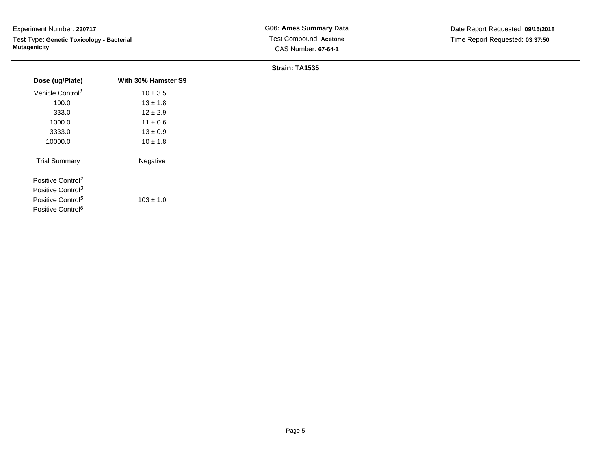Test Type: **Genetic Toxicology - Bacterial Mutagenicity**

#### **Strain: TA1535**

| Dose (ug/Plate)               | With 30% Hamster S9 |
|-------------------------------|---------------------|
| Vehicle Control <sup>1</sup>  | $10 \pm 3.5$        |
| 100.0                         | $13 \pm 1.8$        |
| 333.0                         | $12 \pm 2.9$        |
| 1000.0                        | $11 \pm 0.6$        |
| 3333.0                        | $13 \pm 0.9$        |
| 10000.0                       | $10 \pm 1.8$        |
| <b>Trial Summary</b>          | Negative            |
| Positive Control <sup>2</sup> |                     |
| Positive Control <sup>3</sup> |                     |
| Positive Control <sup>5</sup> | $103 \pm 1.0$       |
| Positive Control <sup>6</sup> |                     |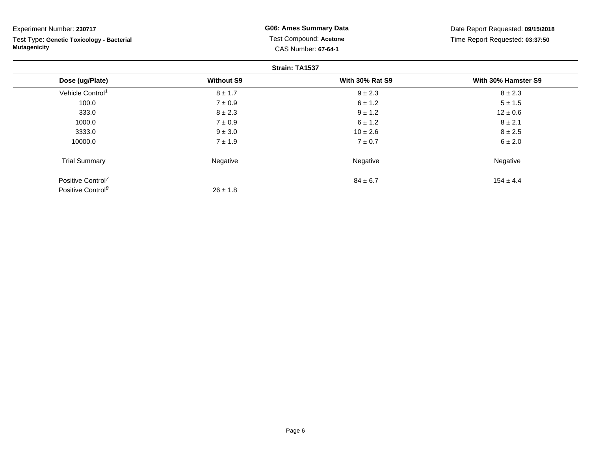**Strain: TA1537Dose (ug/Plate) Without S9 With 30% Rat S9 With 30% Hamster S9** Vehicle Control<sup>1</sup>  $8 \pm 1.7$  $9 \pm 2.3$  8  $\pm 2.3$ 100.00  $7 \pm 0.9$   $5 \pm 1.5$ 333.00  $8 \pm 2.3$   $9 \pm 1.2$   $12 \pm 0.6$ 1000.00  $7 \pm 0.9$   $8 \pm 2.1$ 3333.00  $9 \pm 3.0$   $8 \pm 2.5$ 10000.00  $7 \pm 1.9$  6  $\pm 2.0$ Trial Summary Negativee **Example 2018** Negative **Negative Negative** Regative Experiment Number: **230717** Test Type: **Genetic Toxicology - BacterialMutagenicityG06: Ames Summary Data** Test Compound: **Acetone**CAS Number: **67-64-1**Date Report Requested: **09/15/2018**Time Report Requested: **03:37:50**

 $26 \pm 1.8$ 

 $84 \pm 6.7$  154  $\pm 4.4$ 

Positive Control<sup>7</sup>  $84 \pm 6.7$ Positive Control<sup>8</sup>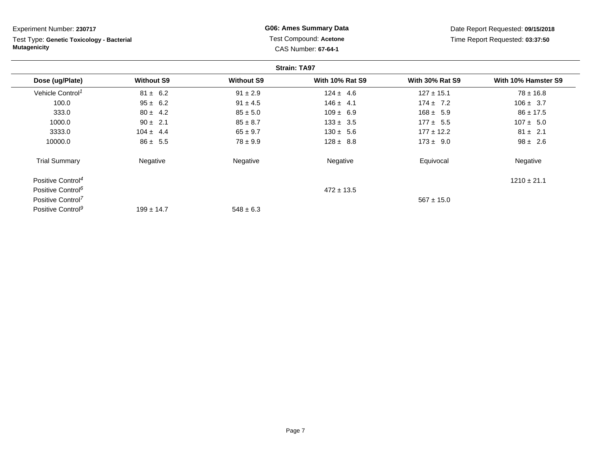**Strain: TA97Dose (ug/Plate) Without S9 Without S9 With 10% Rat S9 With 30% Rat S9 With 10% Hamster S9** Vehicle Control<sup>1</sup>  $81 \pm 6.2$ 2 31 ± 2.9 124 ± 4.6 127 ± 15.1 78 ± 16.8 100.0 95 ± 6.2 91 ± 4.5 146 ± 4.1 174 ± 7.2 106 ± 3.7 333.0 $80 \pm 4.2$   $85 \pm 5.0$   $109 \pm 6.9$   $168 \pm 5.9$   $86 \pm 17.5$ 1000.00 5  $90 \pm 2.1$  85  $\pm 8.7$  133  $\pm 3.5$  177  $\pm 5.5$  107  $\pm 5.0$ 3333.00 104 ± 4.4 65 ± 9.7 130 ± 5.6 177 ± 12.2 81 ± 2.1 10000.00  $86 \pm 5.5$   $78 \pm 9.9$   $128 \pm 8.8$   $173 \pm 9.0$   $98 \pm 2.6$ Trial Summary Negativee 1986 Regative 1996 Negative Regative Regative Equivocal Negative Positive Control<sup>4</sup>  $\frac{44}{1210 \pm 21.1}$ Positive Control<sup>6</sup>  $472 \pm 13.5$ Positive Control<sup>7</sup> $\frac{567 \pm 15.0}{567 \pm 15.0}$ Experiment Number: **230717**Test Type: **Genetic Toxicology - BacterialMutagenicityG06: Ames Summary Data** Test Compound: **Acetone**CAS Number: **67-64-1**Date Report Requested: **09/15/2018**Time Report Requested: **03:37:50**

 $548 \pm 6.3$ 

Positive Control<sup>9</sup>

 $199 \pm 14.7$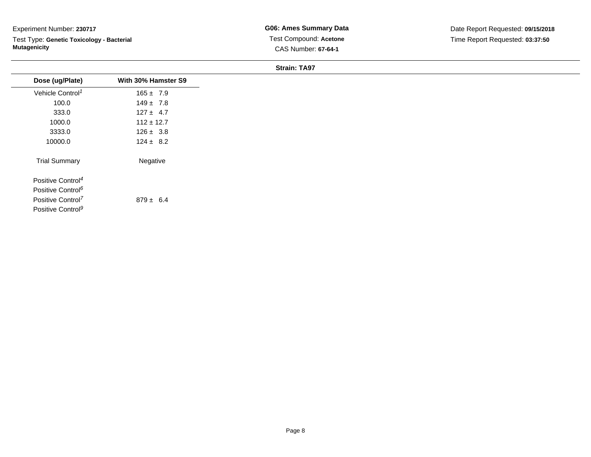Test Type: **Genetic Toxicology - Bacterial Mutagenicity**

**G06: Ames Summary Data** Test Compound: **Acetone**CAS Number: **67-64-1**

| <b>Strain: TA97</b> |  |
|---------------------|--|
|                     |  |

| Dose (ug/Plate)               | With 30% Hamster S9 |
|-------------------------------|---------------------|
| Vehicle Control <sup>1</sup>  | $165 \pm 7.9$       |
| 100.0                         | $149 \pm 7.8$       |
| 333.0                         | $127 \pm 4.7$       |
| 1000.0                        | $112 \pm 12.7$      |
| 3333.0                        | $126 \pm 3.8$       |
| 10000.0                       | $124 \pm 8.2$       |
| <b>Trial Summary</b>          | Negative            |
| Positive Control <sup>4</sup> |                     |
| Positive Control <sup>6</sup> |                     |
| Positive Control <sup>7</sup> | $879 \pm 6.4$       |
| Positive Control <sup>9</sup> |                     |
|                               |                     |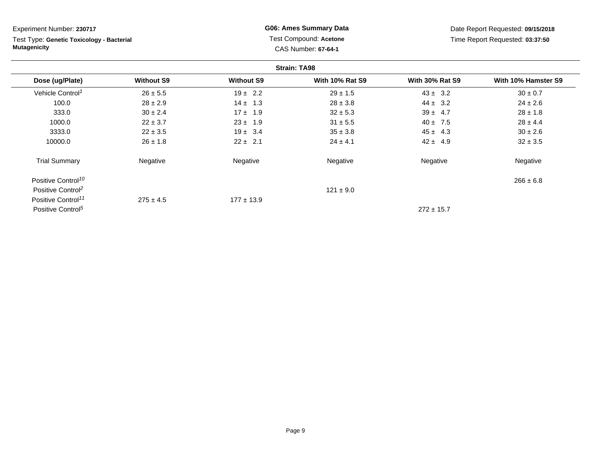Test Type: **Genetic Toxicology - Bacterial Mutagenicity**

**G06: Ames Summary Data** Test Compound: **Acetone**CAS Number: **67-64-1**

Date Report Requested: **09/15/2018**Time Report Requested: **03:37:50**

|                                |                   |                   | <b>Strain: TA98</b>    |                        |                     |
|--------------------------------|-------------------|-------------------|------------------------|------------------------|---------------------|
| Dose (ug/Plate)                | <b>Without S9</b> | <b>Without S9</b> | <b>With 10% Rat S9</b> | <b>With 30% Rat S9</b> | With 10% Hamster S9 |
| Vehicle Control <sup>1</sup>   | $26 \pm 5.5$      | $19 \pm 2.2$      | $29 \pm 1.5$           | $43 \pm 3.2$           | $30 \pm 0.7$        |
| 100.0                          | $28 \pm 2.9$      | $14 \pm 1.3$      | $28 \pm 3.8$           | $44 \pm 3.2$           | $24 \pm 2.6$        |
| 333.0                          | $30 \pm 2.4$      | $17 \pm 1.9$      | $32 \pm 5.3$           | $39 \pm 4.7$           | $28 \pm 1.8$        |
| 1000.0                         | $22 \pm 3.7$      | $23 \pm 1.9$      | $31 \pm 5.5$           | $40 \pm 7.5$           | $28 \pm 4.4$        |
| 3333.0                         | $22 \pm 3.5$      | $19 \pm 3.4$      | $35 \pm 3.8$           | $45 \pm 4.3$           | $30 \pm 2.6$        |
| 10000.0                        | $26 \pm 1.8$      | $22 \pm 2.1$      | $24 \pm 4.1$           | $42 \pm 4.9$           | $32 \pm 3.5$        |
| <b>Trial Summary</b>           | Negative          | Negative          | Negative               | Negative               | Negative            |
| Positive Control <sup>10</sup> |                   |                   |                        |                        | $266 \pm 6.8$       |
| Positive Control <sup>2</sup>  |                   |                   | $121 \pm 9.0$          |                        |                     |
| Positive Control <sup>11</sup> | $275 \pm 4.5$     | $177 \pm 13.9$    |                        |                        |                     |
| Positive Control <sup>5</sup>  |                   |                   |                        | $272 \pm 15.7$         |                     |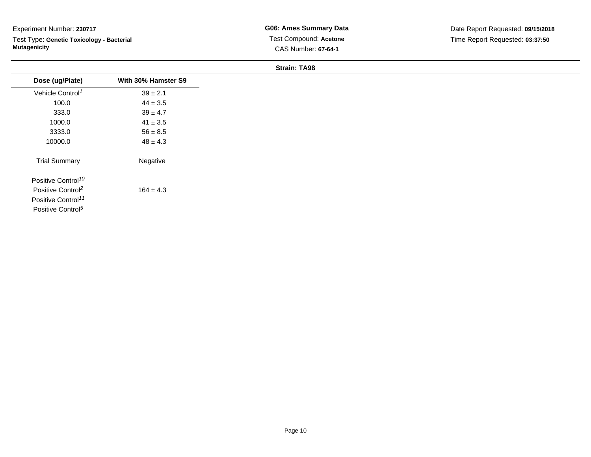Test Type: **Genetic Toxicology - Bacterial Mutagenicity**

**G06: Ames Summary Data** Test Compound: **Acetone**CAS Number: **67-64-1**

**Strain: TA98**

| Dose (ug/Plate)                | With 30% Hamster S9 |
|--------------------------------|---------------------|
| Vehicle Control <sup>1</sup>   | $39 \pm 2.1$        |
| 100.0                          | $44 \pm 3.5$        |
| 333.0                          | $39 \pm 4.7$        |
| 1000.0                         | $41 \pm 3.5$        |
| 3333.0                         | $56 \pm 8.5$        |
| 10000.0                        | $48 \pm 4.3$        |
| <b>Trial Summary</b>           | Negative            |
| Positive Control <sup>10</sup> |                     |
| Positive Control <sup>2</sup>  | $164 \pm 4.3$       |
| Positive Control <sup>11</sup> |                     |
| Positive Control <sup>5</sup>  |                     |